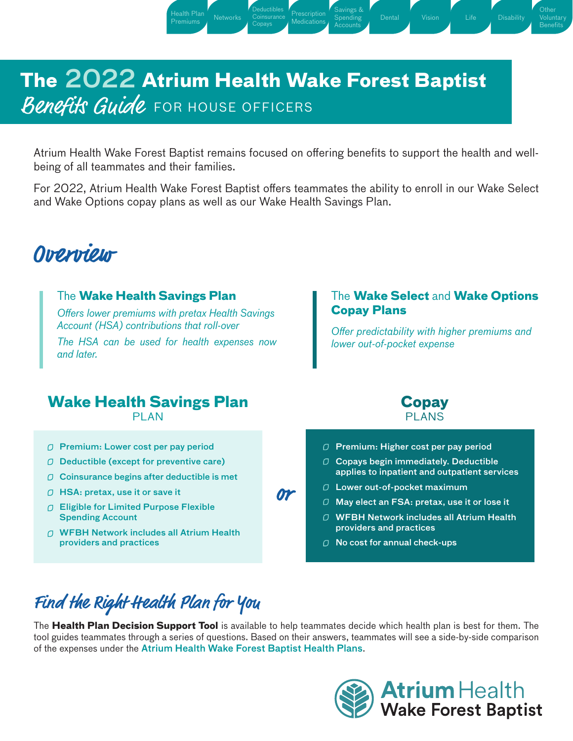# **The 2022 Atrium Health Wake Forest Baptist** Benefits Guide FOR HOUSE OFFICERS

Health Plan Networks Coinsurance Prescription<br>[Premiums](#page-1-0) Metworks Consus

[Deductibles](#page-2-0) **[Coinsurance](#page-2-0)** [Copays](#page-2-0)

Atrium Health Wake Forest Baptist remains focused on offering benefits to support the health and wellbeing of all teammates and their families.

**[Medications](#page-3-0)** 

[Savings &](#page-5-0) [Spending](#page-5-0) [Accounts](#page-5-0)

For 2022, Atrium Health Wake Forest Baptist offers teammates the ability to enroll in our Wake Select and Wake Options copay plans as well as our Wake Health Savings Plan.

# **Overview**

### The **Wake Health Savings Plan**

*Offers lower premiums with pretax Health Savings Account (HSA) contributions that roll-over*

[Health Plan](#page-1-0)

*The HSA can be used for health expenses now and later.*

#### The **Wake Select** and **Wake Options Copay Plans**

[Disability](#page-11-0)

**[Other](#page-12-0)** [Voluntary](#page-12-0) **[Benefits](#page-12-0)** 

*Offer predictability with higher premiums and lower out-of-pocket expense*

### **Wake Health Savings Plan**

**PLAN** 

- $\sigma$  Premium: Lower cost per pay period
- $\Box$  Deductible (except for preventive care)
- $O$  Coinsurance begins after deductible is met
- $\bigcirc$  HSA: pretax, use it or save it
- Eligible for Limited Purpose Flexible Spending Account
- WFBH Network includes all Atrium Health providers and practices

07

**Copay** PLANS



- $\Box$  Copays begin immediately. Deductible applies to inpatient and outpatient services
- $\Box$  Lower out-of-pocket maximum
- $\Box$  May elect an FSA: pretax, use it or lose it
- WFBH Network includes all Atrium Health providers and practices
- $\Box$  No cost for annual check-ups

# Find the Right Health Plan for You

The **[Health Plan Decision Support Tool](https://www.medplancompare.com/WakeForestBaptistHealth/)** is available to help teammates decide which health plan is best for them. The tool guides teammates through a series of questions. Based on their answers, teammates will see a side-by-side comparison of the expenses under the Atrium Health Wake Forest Baptist Health Plans.

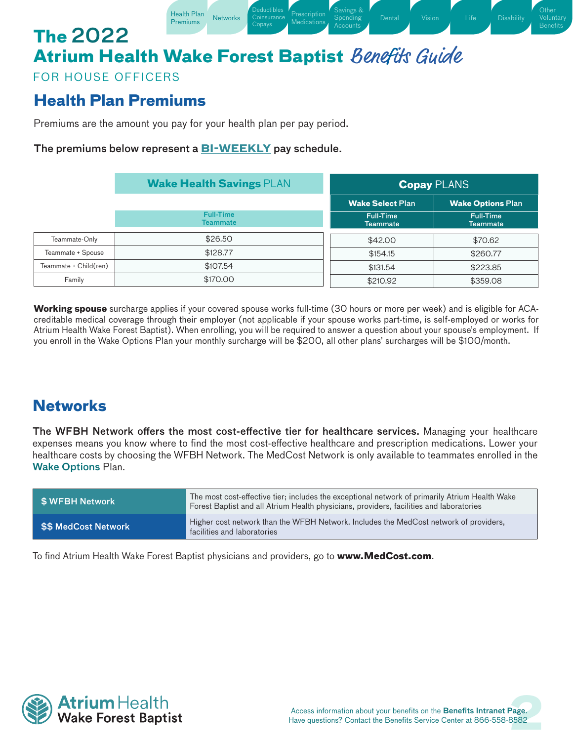#### Health Plan [Networks](#page-1-1) Coinsurance [Prescription](#page-3-0) Medications Copays **The** 2022 **Atrium Health Wake Forest Baptist** Benefits Guide

Deductibles **[Coinsurance](#page-2-0)**  [Savings &](#page-5-0) Spending

[Disability](#page-11-0)

**Other** [Voluntary](#page-12-0) Benefits

FOR HOUSE OFFICERS

### <span id="page-1-0"></span>**Health Plan Premiums**

Premiums are the amount you pay for your health plan per pay period.

[Health Plan](#page-1-0)

#### The premiums below represent a **BI-WEEKLY** pay schedule.

|                       | <b>Wake Health Savings PLAN</b>     |                                     | <b>Copay PLANS</b>           |
|-----------------------|-------------------------------------|-------------------------------------|------------------------------|
|                       |                                     | <b>Wake Select Plan</b>             | <b>Wake Options Plan</b>     |
|                       | <b>Full-Time</b><br><b>Teammate</b> | <b>Full-Time</b><br><b>Teammate</b> | <b>Full-Time</b><br>Teammate |
| Teammate-Only         | \$26.50                             | \$42.00                             | \$70.62                      |
| Teammate + Spouse     | \$128.77                            | \$154.15                            | \$260.77                     |
| Teammate + Child(ren) | \$107.54                            | \$131.54                            | \$223.85                     |
| Family                | \$170,00                            | \$210.92                            | \$359.08                     |

**Working spouse** surcharge applies if your covered spouse works full-time (30 hours or more per week) and is eligible for ACAcreditable medical coverage through their employer (not applicable if your spouse works part-time, is self-employed or works for Atrium Health Wake Forest Baptist). When enrolling, you will be required to answer a question about your spouse's employment. If you enroll in the Wake Options Plan your monthly surcharge will be \$200, all other plans' surcharges will be \$100/month.

### <span id="page-1-1"></span>**Networks**

The WFBH Network offers the most cost-effective tier for healthcare services. Managing your healthcare expenses means you know where to find the most cost-effective healthcare and prescription medications. Lower your healthcare costs by choosing the WFBH Network. The MedCost Network is only available to teammates enrolled in the Wake Options Plan.

| SWFBH Network               | The most cost-effective tier; includes the exceptional network of primarily Atrium Health Wake<br>Forest Baptist and all Atrium Health physicians, providers, facilities and laboratories |
|-----------------------------|-------------------------------------------------------------------------------------------------------------------------------------------------------------------------------------------|
| <b>\$\$ MedCost Network</b> | Higher cost network than the WFBH Network. Includes the MedCost network of providers,<br>facilities and laboratories                                                                      |

To find Atrium Health Wake Forest Baptist physicians and providers, go to **[www.MedCost.com](http://www.MedCost.com)**.

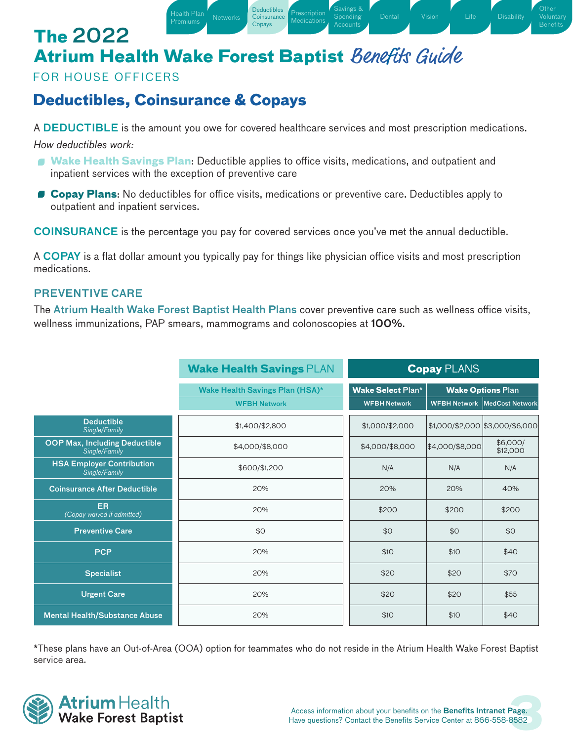**Deductibles [Coinsurance](#page-2-0)** Copays

**[Prescription](#page-3-0) Medications**  [Savings &](#page-5-0) Spending

[Disability](#page-11-0)

**Other** [Voluntary](#page-12-0) **Benefits** 

### FOR HOUSE OFFICERS

## <span id="page-2-0"></span>**Deductibles, Coinsurance & Copays**

[Health Plan](#page-1-0)

Premiums [Networks](#page-1-1)

A DEDUCTIBLE is the amount you owe for covered healthcare services and most prescription medications. *How deductibles work:*

- **Wake Health Savings Plan**: Deductible applies to office visits, medications, and outpatient and inpatient services with the exception of preventive care
- **Copay Plans**: No deductibles for office visits, medications or preventive care. Deductibles apply to outpatient and inpatient services.

COINSURANCE is the percentage you pay for covered services once you've met the annual deductible.

A COPAY is a flat dollar amount you typically pay for things like physician office visits and most prescription medications.

### PREVENTIVE CARE

The Atrium Health Wake Forest Baptist Health Plans cover preventive care such as wellness office visits, wellness immunizations, PAP smears, mammograms and colonoscopies at 100%.

|                                                       | <b>Wake Health Savings PLAN</b>        | <b>Copay PLANS</b>       |                          |                                       |  |
|-------------------------------------------------------|----------------------------------------|--------------------------|--------------------------|---------------------------------------|--|
|                                                       | <b>Wake Health Savings Plan (HSA)*</b> | <b>Wake Select Plan*</b> | <b>Wake Options Plan</b> |                                       |  |
|                                                       | <b>WFBH Network</b>                    | <b>WFBH Network</b>      |                          | <b>WFBH Network   MedCost Network</b> |  |
| <b>Deductible</b><br>Single/Family                    | \$1,400/\$2,800                        | \$1,000/\$2,000          |                          | \$1,000/\$2,000 \$3,000/\$6,000       |  |
| <b>OOP Max, Including Deductible</b><br>Single/Family | \$4,000/\$8,000                        | \$4,000/\$8,000          | \$4,000/\$8,000          | \$6,000/<br>\$12,000                  |  |
| <b>HSA Employer Contribution</b><br>Single/Family     | \$600/\$1,200                          | N/A                      | N/A                      | N/A                                   |  |
| <b>Coinsurance After Deductible</b>                   | 20%                                    | 20%                      | 20%                      | 40%                                   |  |
| ER.<br>(Copay waived if admitted)                     | 20%                                    | \$200                    | \$200                    | \$200                                 |  |
| <b>Preventive Care</b>                                | \$0                                    | \$0                      | \$0                      | \$0                                   |  |
| <b>PCP</b>                                            | 20%                                    | \$10                     | \$10                     | \$40                                  |  |
| <b>Specialist</b>                                     | 20%                                    | \$20                     | \$20                     | \$70                                  |  |
| <b>Urgent Care</b>                                    | 20%                                    | \$20                     | \$20                     | \$55                                  |  |
| <b>Mental Health/Substance Abuse</b>                  | 20%                                    | \$10                     | \$10                     | \$40                                  |  |

\*These plans have an Out-of-Area (OOA) option for teammates who do not reside in the Atrium Health Wake Forest Baptist service area.

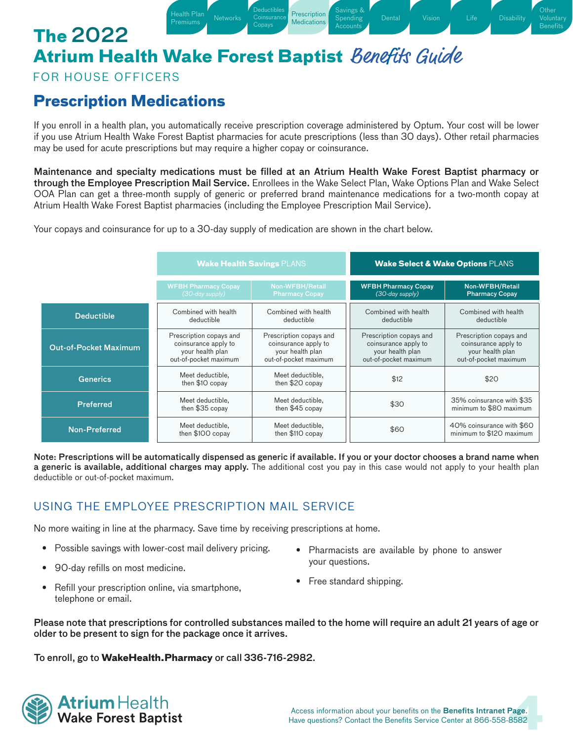Health Plan [Networks](#page-1-1) Consumbor [Prescription](#page-3-0)<br>Premiums Retworks Consumer Medications

**Deductibles [Coinsurance](#page-2-0)** Copays

[Health Plan](#page-1-0)

### FOR HOUSE OFFICERS

# <span id="page-3-0"></span>**Prescription Medications**

If you enroll in a health plan, you automatically receive prescription coverage administered by Optum. Your cost will be lower if you use Atrium Health Wake Forest Baptist pharmacies for acute prescriptions (less than 30 days). Other retail pharmacies may be used for acute prescriptions but may require a higher copay or coinsurance.

**Medications** 

[Savings &](#page-5-0) Spending Accounts

[Disability](#page-11-0)

**Other** [Voluntary](#page-12-0) **Benefits** 

Maintenance and specialty medications must be filled at an Atrium Health Wake Forest Baptist pharmacy or through the Employee Prescription Mail Service. Enrollees in the Wake Select Plan, Wake Options Plan and Wake Select OOA Plan can get a three-month supply of generic or preferred brand maintenance medications for a two-month copay at Atrium Health Wake Forest Baptist pharmacies (including the Employee Prescription Mail Service).

Your copays and coinsurance for up to a 30-day supply of medication are shown in the chart below.

|                              |                                                                                              | <b>Wake Health Savings PLANS</b>                                                             |                                                                                              | <b>Wake Select &amp; Wake Options PLANS</b>                                                  |
|------------------------------|----------------------------------------------------------------------------------------------|----------------------------------------------------------------------------------------------|----------------------------------------------------------------------------------------------|----------------------------------------------------------------------------------------------|
|                              | <b>WFBH Pharmacy Copay</b><br>(30-day supply)                                                | Non-WFBH/Retail<br><b>Pharmacy Copay</b>                                                     | <b>WFBH Pharmacy Copay</b><br>(30-day supply)                                                | Non-WFBH/Retail<br><b>Pharmacy Copay</b>                                                     |
| <b>Deductible</b>            | Combined with health<br>deductible                                                           | Combined with health<br>deductible                                                           | Combined with health<br>deductible                                                           | Combined with health<br>deductible                                                           |
| <b>Out-of-Pocket Maximum</b> | Prescription copays and<br>coinsurance apply to<br>your health plan<br>out-of-pocket maximum | Prescription copays and<br>coinsurance apply to<br>your health plan<br>out-of-pocket maximum | Prescription copays and<br>coinsurance apply to<br>your health plan<br>out-of-pocket maximum | Prescription copays and<br>coinsurance apply to<br>your health plan<br>out-of-pocket maximum |
| <b>Generics</b>              | Meet deductible,<br>then \$10 copay                                                          | Meet deductible,<br>then \$20 copay                                                          | \$12                                                                                         | \$20                                                                                         |
| <b>Preferred</b>             | Meet deductible.<br>then \$35 copay                                                          | Meet deductible.<br>then $$45$ copay                                                         | \$30                                                                                         | 35% coinsurance with \$35<br>minimum to \$80 maximum                                         |
| Non-Preferred                | Meet deductible.<br>then \$100 copay                                                         | Meet deductible.<br>then \$110 copay                                                         | \$60                                                                                         | 40% coinsurance with \$60<br>minimum to \$120 maximum                                        |

Note: Prescriptions will be automatically dispensed as generic if available. If you or your doctor chooses a brand name when a generic is available, additional charges may apply. The additional cost you pay in this case would not apply to your health plan deductible or out-of-pocket maximum.

### USING THE EMPLOYEE PRESCRIPTION MAIL SERVICE

No more waiting in line at the pharmacy. Save time by receiving prescriptions at home.

- Possible savings with lower-cost mail delivery pricing.
- 90-day refills on most medicine.
- Pharmacists are available by phone to answer your questions.
- Refill your prescription online, via smartphone, telephone or email.
- Free standard shipping.

Please note that prescriptions for controlled substances mailed to the home will require an adult 21 years of age or older to be present to sign for the package once it arrives.

To enroll, go to **[WakeHealth.Pharmacy](http://WakeHealth.Pharmacy)** or call 336-716-2982.

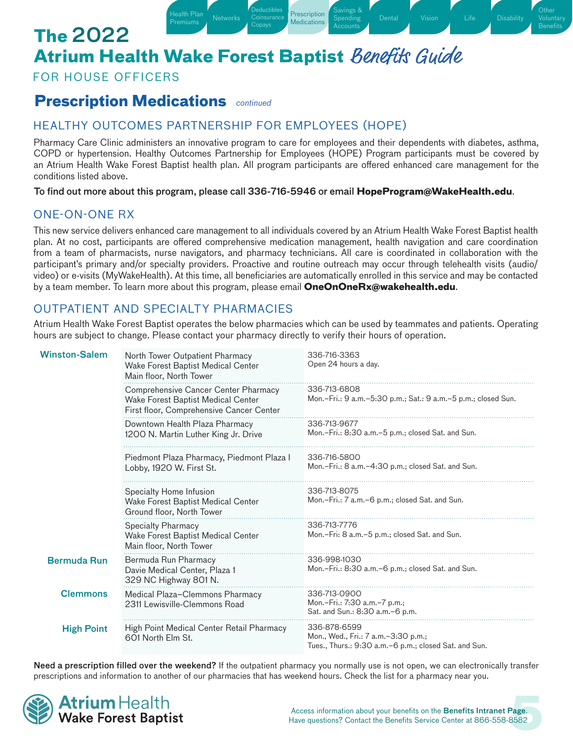Health Plan [Networks](#page-1-1) Coinsurance [Prescription](#page-3-0)

**Deductibles [Coinsurance](#page-2-0)** Copays

### FOR HOUSE OFFICERS

### **Prescription Medications** *continued*

[Health Plan](#page-1-0)

### HEALTHY OUTCOMES PARTNERSHIP FOR EMPLOYEES (HOPE)

Pharmacy Care Clinic administers an innovative program to care for employees and their dependents with diabetes, asthma, COPD or hypertension. Healthy Outcomes Partnership for Employees (HOPE) Program participants must be covered by an Atrium Health Wake Forest Baptist health plan. All program participants are offered enhanced care management for the conditions listed above.

**Medications** 

[Savings &](#page-5-0) Spending

[Dental](#page-7-0) [Vision](#page-8-0) [Life](#page-9-0) [Disability](#page-11-0)

**Other** [Voluntary](#page-12-0) **Benefits** 

To find out more about this program, please call 336-716-5946 or email **[HopeProgram@WakeHealth.edu](mailto:HopeProgram%40WakeHealth.edu?subject=)**.

### ONE-ON-ONE RX

This new service delivers enhanced care management to all individuals covered by an Atrium Health Wake Forest Baptist health plan. At no cost, participants are offered comprehensive medication management, health navigation and care coordination from a team of pharmacists, nurse navigators, and pharmacy technicians. All care is coordinated in collaboration with the participant's primary and/or specialty providers. Proactive and routine outreach may occur through telehealth visits (audio/ video) or e-visits (MyWakeHealth). At this time, all beneficiaries are automatically enrolled in this service and may be contacted by a team member. To learn more about this program, please email **[OneOnOneRx@wakehealth.edu](mailto:mailto:oneononerx%40wakehealth.edu?subject=)**.

### OUTPATIENT AND SPECIALTY PHARMACIES

Atrium Health Wake Forest Baptist operates the below pharmacies which can be used by teammates and patients. Operating hours are subject to change. Please contact your pharmacy directly to verify their hours of operation.

| <b>Winston-Salem</b>                                                                | North Tower Outpatient Pharmacy<br>Wake Forest Baptist Medical Center<br>Main floor, North Tower                       | 336-716-3363<br>Open 24 hours a day.                                                                             |
|-------------------------------------------------------------------------------------|------------------------------------------------------------------------------------------------------------------------|------------------------------------------------------------------------------------------------------------------|
|                                                                                     | Comprehensive Cancer Center Pharmacy<br>Wake Forest Baptist Medical Center<br>First floor, Comprehensive Cancer Center | 336-713-6808<br>Mon.-Fri.: 9 a.m.-5:30 p.m.; Sat.: 9 a.m.-5 p.m.; closed Sun.                                    |
|                                                                                     | Downtown Health Plaza Pharmacy<br>1200 N. Martin Luther King Jr. Drive                                                 | 336-713-9677<br>Mon.-Fri.: 8:30 a.m.-5 p.m.; closed Sat. and Sun.                                                |
|                                                                                     | Piedmont Plaza Pharmacy, Piedmont Plaza I<br>Lobby, 1920 W. First St.                                                  | 336-716-5800<br>Mon.-Fri.: 8 a.m.-4:30 p.m.; closed Sat. and Sun.                                                |
|                                                                                     | Specialty Home Infusion<br>Wake Forest Baptist Medical Center<br>Ground floor, North Tower                             | 336-713-8075<br>Mon.-Fri.: 7 a.m.-6 p.m.; closed Sat. and Sun.                                                   |
|                                                                                     | <b>Specialty Pharmacy</b><br>Wake Forest Baptist Medical Center<br>Main floor, North Tower                             | 336-713-7776<br>Mon.-Fri: 8 a.m.-5 p.m.; closed Sat. and Sun.                                                    |
| <b>Bermuda Run</b>                                                                  | Bermuda Run Pharmacy<br>Davie Medical Center, Plaza 1<br>329 NC Highway 801 N.                                         | 336-998-1030<br>Mon.-Fri.: 8:30 a.m.-6 p.m.; closed Sat. and Sun.                                                |
| <b>Clemmons</b><br>Medical Plaza-Clemmons Pharmacy<br>2311 Lewisville-Clemmons Road |                                                                                                                        | 336-713-0900<br>Mon.-Fri.: 7:30 a.m.-7 p.m.;<br>Sat. and Sun.: 8:30 a.m. - 6 p.m.                                |
| High Point Medical Center Retail Pharmacy<br><b>High Point</b><br>601 North Elm St. |                                                                                                                        | 336-878-6599<br>Mon., Wed., Fri.: 7 a.m. - 3:30 p.m.;<br>Tues., Thurs.: 9:30 a.m. - 6 p.m.; closed Sat. and Sun. |

Need a prescription filled over the weekend? If the outpatient pharmacy you normally use is not open, we can electronically transfer prescriptions and information to another of our pharmacies that has weekend hours. Check the list for a pharmacy near you.

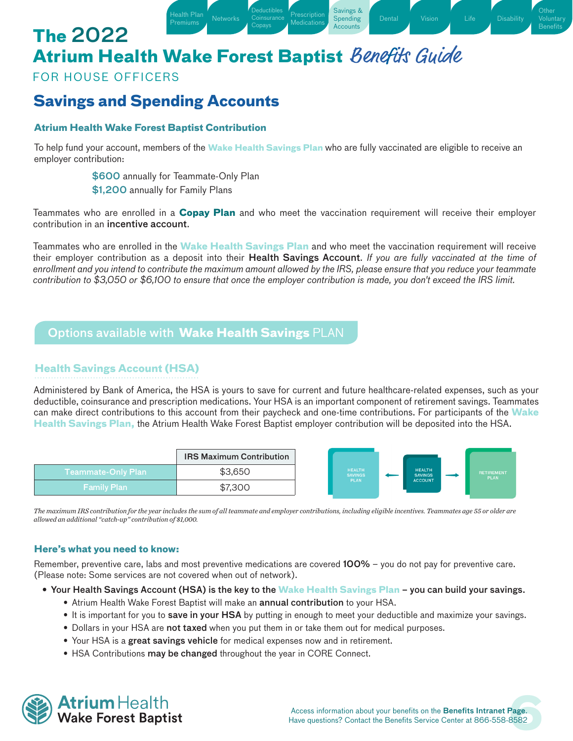Health Plan [Networks](#page-1-1) Coinsurance [Prescription](#page-3-0)

**Deductibles [Coinsurance](#page-2-0)** Copays

### FOR HOUSE OFFICERS

**The** 2022

### <span id="page-5-0"></span>**Savings and Spending Accounts**

#### **Atrium Health Wake Forest Baptist Contribution**

To help fund your account, members of the **Wake Health Savings Plan** who are fully vaccinated are eligible to receive an employer contribution:

Medications

[Savings &](#page-5-0) **Spending Accounts** 

**Other Benefits** 

\$600 annually for Teammate-Only Plan

[Health Plan](#page-1-0)

\$1,200 annually for Family Plans

Teammates who are enrolled in a **Copay Plan** and who meet the vaccination requirement will receive their employer contribution in an incentive account.

Teammates who are enrolled in the **Wake Health Savings Plan** and who meet the vaccination requirement will receive their employer contribution as a deposit into their Health Savings Account. *If you are fully vaccinated at the time of enrollment and you intend to contribute the maximum amount allowed by the IRS, please ensure that you reduce your teammate contribution to \$3,050 or \$6,100 to ensure that once the employer contribution is made, you don't exceed the IRS limit.*

### Options available with **Wake Health Savings** PLAN

#### **Health Savings Account (HSA)**

Administered by Bank of America, the HSA is yours to save for current and future healthcare-related expenses, such as your deductible, coinsurance and prescription medications. Your HSA is an important component of retirement savings. Teammates can make direct contributions to this account from their paycheck and one-time contributions. For participants of the **Wake Health Savings Plan,** the Atrium Health Wake Forest Baptist employer contribution will be deposited into the HSA.



*The maximum IRS contribution for the year includes the sum of all teammate and employer contributions, including eligible incentives. Teammates age 55 or older are allowed an additional "catch-up" contribution of \$1,000.*

#### **Here's what you need to know:**

Remember, preventive care, labs and most preventive medications are covered **100%** – you do not pay for preventive care. (Please note: Some services are not covered when out of network).

- Your Health Savings Account (HSA) is the key to the **Wake Health Savings Plan** you can build your savings.
	- Atrium Health Wake Forest Baptist will make an annual contribution to your HSA.
	- It is important for you to save in your HSA by putting in enough to meet your deductible and maximize your savings.
	- Dollars in your HSA are not taxed when you put them in or take them out for medical purposes.
	- Your HSA is a great savings vehicle for medical expenses now and in retirement.
	- HSA Contributions may be changed throughout the year in CORE Connect.

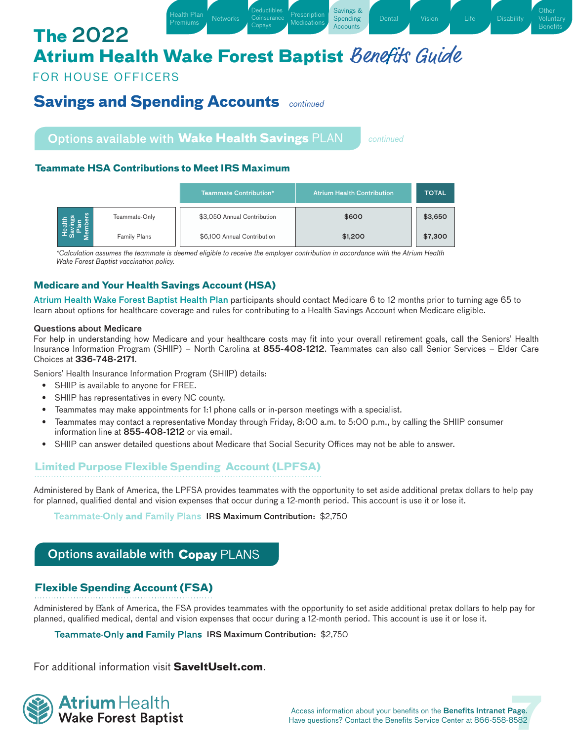Health Plan Metworks Coinsurance [Prescription](#page-3-0)

Deductibles **[Coinsurance](#page-2-0)** Copays

**Medications** 

[Savings &](#page-5-0) Spending **Accounts** 

FOR HOUSE OFFICERS

**The** 2022

### **Savings and Spending Accounts** *continued*

[Health Plan](#page-1-0)

Options available with **Wake Health Savings** PLAN

*continued*

**Other Benefits** 

#### **Teammate HSA Contributions to Meet IRS Maximum**

|                     | <b>Teammate Contribution*</b> | <b>Atrium Health Contribution</b> | <b>TOTAL</b> |
|---------------------|-------------------------------|-----------------------------------|--------------|
| Teammate-Only       | \$3,050 Annual Contribution   | \$600                             | \$3,650      |
| <b>Family Plans</b> | \$6,100 Annual Contribution   | \$1,200                           | \$7,300      |

*\*Calculation assumes the teammate is deemed eligible to receive the employer contribution in accordance with the Atrium Health Wake Forest Baptist vaccination policy.*

#### **Medicare and Your Health Savings Account (HSA)**

Atrium Health Wake Forest Baptist Health Plan participants should contact Medicare 6 to 12 months prior to turning age 65 to learn about options for healthcare coverage and rules for contributing to a Health Savings Account when Medicare eligible.

#### Questions about Medicare

For help in understanding how Medicare and your healthcare costs may fit into your overall retirement goals, call the Seniors' Health Insurance Information Program (SHIIP) – North Carolina at 855-408-1212. Teammates can also call Senior Services – Elder Care Choices at 336-748-2171.

Seniors' Health Insurance Information Program (SHIIP) details:

- SHIIP is available to anyone for FREE.
- SHIIP has representatives in every NC county.
- Teammates may make appointments for 1:1 phone calls or in-person meetings with a specialist.
- Teammates may contact a representative Monday through Friday, 8:00 a.m. to 5:00 p.m., by calling the SHIIP consumer information line at 855-408-1212 or via email.
- SHIIP can answer detailed questions about Medicare that Social Security Offices may not be able to answer.

### **Limited Purpose Flexible Spending Account (LPFSA)**

Administered by Bank of America, the LPFSA provides teammates with the opportunity to set aside additional pretax dollars to help pay for planned, qualified dental and vision expenses that occur during a 12-month period. This account is use it or lose it.

-Only and Family Plans IRS Maximum Contribution: \$2,750

### Options available with **Copay** PLANS

### **Flexible Spending Account (FSA)**

.<br>Administered by Bank of America, the FSA provides teammates with the opportunity to set aside additional pretax dollars to help pay for planned, qualified medical, dental and vision expenses that occur during a 12-month period. This account is use it or lose it.

**-Only and Family Plans IRS Maximum Contribution: \$2,750** 

For additional information visit **[SaveItUseIt.com](http://SaveItUseIt.com)**.

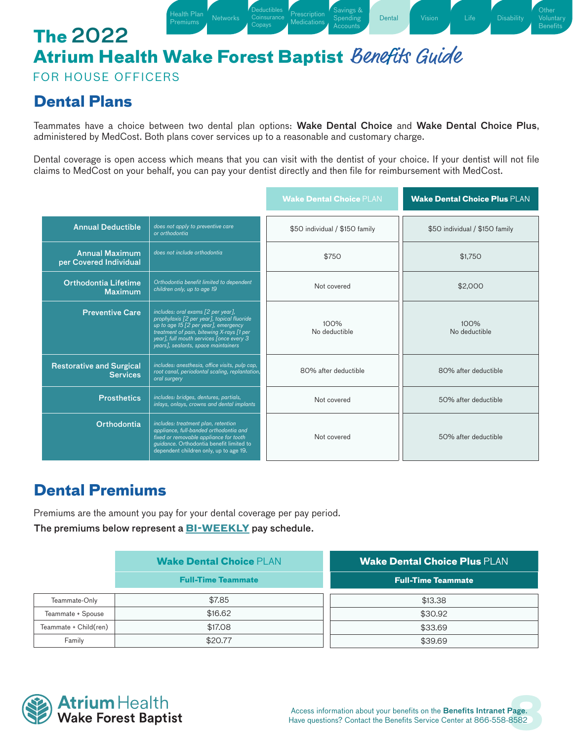Health Plan [Networks](#page-1-1) Coinsuration [Prescription](#page-3-0)<br>Premiums Retworks Coinsurance Medications

**Deductibles [Coinsurance](#page-2-0)** Copays

[Health Plan](#page-1-0)

FOR HOUSE OFFICERS

### <span id="page-7-0"></span>**Dental Plans**

Teammates have a choice between two dental plan options: Wake Dental Choice and Wake Dental Choice Plus, administered by MedCost. Both plans cover services up to a reasonable and customary charge.

**Medications** 

[Savings &](#page-5-0) Spending

**[Dental](#page-7-0) [Vision](#page-8-0)** [Life](#page-9-0) [Disability](#page-11-0)

**Other** [Voluntary](#page-12-0) Benefits

Dental coverage is open access which means that you can visit with the dentist of your choice. If your dentist will not file claims to MedCost on your behalf, you can pay your dentist directly and then file for reimbursement with MedCost.

|                                                    |                                                                                                                                                                                                                                                          | <b>Wake Dental Choice PLAN</b> | <b>Wake Dental Choice Plus PLAN</b> |
|----------------------------------------------------|----------------------------------------------------------------------------------------------------------------------------------------------------------------------------------------------------------------------------------------------------------|--------------------------------|-------------------------------------|
| <b>Annual Deductible</b>                           | does not apply to preventive care<br>or orthodontia                                                                                                                                                                                                      | \$50 individual / \$150 family | \$50 individual / \$150 family      |
| <b>Annual Maximum</b><br>per Covered Individual    | does not include orthodontia                                                                                                                                                                                                                             | \$750                          | \$1,750                             |
| <b>Orthodontia Lifetime</b><br><b>Maximum</b>      | Orthodontia benefit limited to dependent<br>children only, up to age 19                                                                                                                                                                                  | Not covered                    | \$2,000                             |
| <b>Preventive Care</b>                             | includes: oral exams [2 per year],<br>prophylaxis [2 per year], topical fluoride<br>up to age 15 [2 per year], emergency<br>treatment of pain, bitewing X-rays [1 per<br>year], full mouth services [once every 3<br>years], sealants, space maintainers | 100%<br>No deductible          | 100%<br>No deductible               |
| <b>Restorative and Surgical</b><br><b>Services</b> | includes: anesthesia, office visits, pulp cap,<br>root canal, periodontal scaling, replantation,<br>oral surgery                                                                                                                                         | 80% after deductible           | 80% after deductible                |
| <b>Prosthetics</b>                                 | includes: bridges, dentures, partials,<br>inlays, onlays, crowns and dental implants                                                                                                                                                                     | Not covered                    | 50% after deductible                |
| <b>Orthodontia</b>                                 | includes: treatment plan, retention<br>appliance, full-banded orthodontia and<br>fixed or removable appliance for tooth<br>guidance. Orthodontia benefit limited to<br>dependent children only, up to age 19.                                            | Not covered                    | 50% after deductible                |

### **Dental Premiums**

Premiums are the amount you pay for your dental coverage per pay period.

The premiums below represent a **BI-WEEKLY** pay schedule.

|                       | <b>Wake Dental Choice PLAN</b> | <b>Wake Dental Choice Plus PLAN</b> |
|-----------------------|--------------------------------|-------------------------------------|
|                       | <b>Full-Time Teammate</b>      | <b>Full-Time Teammate</b>           |
| Teammate-Only         | \$7.85                         | \$13.38                             |
| Teammate + Spouse     | \$16.62                        | \$30.92                             |
| Teammate + Child(ren) | \$17,08                        | \$33.69                             |
| Family                | \$20.77                        | \$39.69                             |

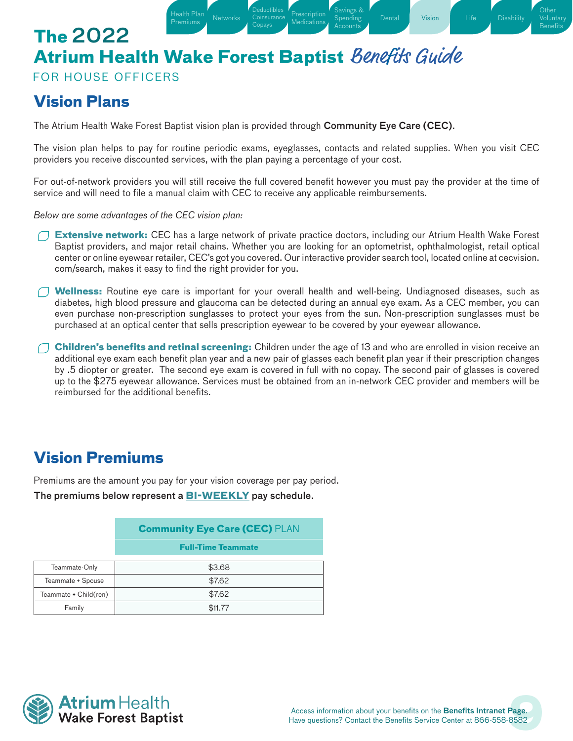Health Plan [Networks](#page-1-1) Coinsurance [Prescription](#page-3-0)<br>Premiums Retworks Coinsurance Medications

**Deductibles [Coinsurance](#page-2-0)** Copays

[Health Plan](#page-1-0)

FOR HOUSE OFFICERS

### <span id="page-8-0"></span>**Vision Plans**

The Atrium Health Wake Forest Baptist vision plan is provided through Community Eye Care (CEC).

The vision plan helps to pay for routine periodic exams, eyeglasses, contacts and related supplies. When you visit CEC providers you receive discounted services, with the plan paying a percentage of your cost.

**Medications** 

[Savings &](#page-5-0) Spending Accounts

[Vision](#page-8-0) [Life](#page-9-0) [Disability](#page-11-0)

**Other** [Voluntary](#page-12-0) Benefits

For out-of-network providers you will still receive the full covered benefit however you must pay the provider at the time of service and will need to file a manual claim with CEC to receive any applicable reimbursements.

*Below are some advantages of the CEC vision plan:*

- **Extensive network:** CEC has a large network of private practice doctors, including our Atrium Health Wake Forest Baptist providers, and major retail chains. Whether you are looking for an optometrist, ophthalmologist, retail optical center or online eyewear retailer, CEC's got you covered. Our interactive provider search tool, located online at cecvision. com/search, makes it easy to find the right provider for you.
- **Wellness:** Routine eye care is important for your overall health and well-being. Undiagnosed diseases, such as diabetes, high blood pressure and glaucoma can be detected during an annual eye exam. As a CEC member, you can even purchase non-prescription sunglasses to protect your eyes from the sun. Non-prescription sunglasses must be purchased at an optical center that sells prescription eyewear to be covered by your eyewear allowance.
- **Children's benefits and retinal screening:** Children under the age of 13 and who are enrolled in vision receive an additional eye exam each benefit plan year and a new pair of glasses each benefit plan year if their prescription changes by .5 diopter or greater. The second eye exam is covered in full with no copay. The second pair of glasses is covered up to the \$275 eyewear allowance. Services must be obtained from an in-network CEC provider and members will be reimbursed for the additional benefits.

# **Vision Premiums**

Premiums are the amount you pay for your vision coverage per pay period.

The premiums below represent a **BI-WEEKLY** pay schedule.

|                       | <b>Community Eye Care (CEC) PLAN</b> |
|-----------------------|--------------------------------------|
|                       | <b>Full-Time Teammate</b>            |
| Teammate-Only         | \$3.68                               |
| Teammate + Spouse     | \$7.62                               |
| Teammate + Child(ren) | \$7.62                               |
| Family                | \$11,77                              |

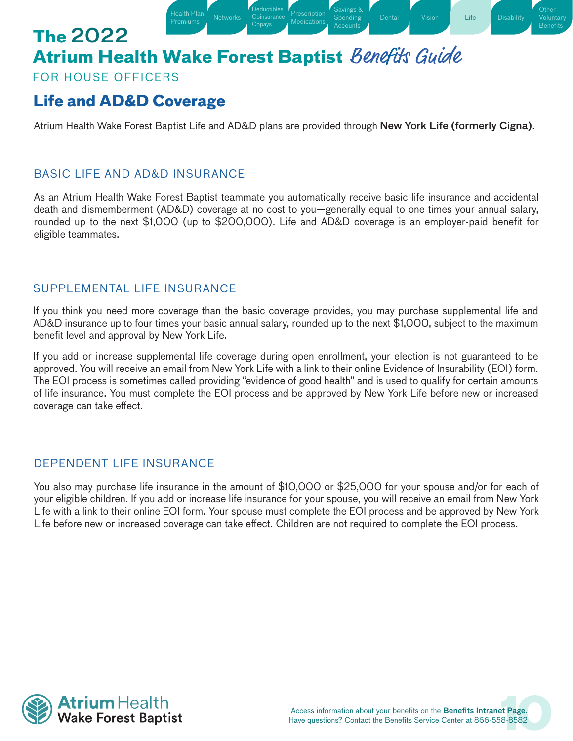Health Plan [Networks](#page-1-1) Coinsurance [Prescription](#page-3-0)<br>Premiums Metworks Coinsurance Medications

Deductibles **[Coinsurance](#page-2-0)** Copays

[Health Plan](#page-1-0)

### FOR HOUSE OFFICERS

# <span id="page-9-0"></span>**Life and AD&D Coverage**

Atrium Health Wake Forest Baptist Life and AD&D plans are provided through New York Life (formerly Cigna).

**Medications** 

[Savings &](#page-5-0) Spending Accounts

[Disability](#page-11-0)

**Other** [Voluntary](#page-12-0) **Benefits** 

### BASIC LIFE AND AD&D INSURANCE

As an Atrium Health Wake Forest Baptist teammate you automatically receive basic life insurance and accidental death and dismemberment (AD&D) coverage at no cost to you—generally equal to one times your annual salary, rounded up to the next \$1,000 (up to \$200,000). Life and AD&D coverage is an employer-paid benefit for eligible teammates.

### SUPPLEMENTAL LIFE INSURANCE

If you think you need more coverage than the basic coverage provides, you may purchase supplemental life and AD&D insurance up to four times your basic annual salary, rounded up to the next \$1,000, subject to the maximum benefit level and approval by New York Life.

If you add or increase supplemental life coverage during open enrollment, your election is not guaranteed to be approved. You will receive an email from New York Life with a link to their online Evidence of Insurability (EOI) form. The EOI process is sometimes called providing "evidence of good health" and is used to qualify for certain amounts of life insurance. You must complete the EOI process and be approved by New York Life before new or increased coverage can take effect.

### DEPENDENT LIFE INSURANCE

You also may purchase life insurance in the amount of \$10,000 or \$25,000 for your spouse and/or for each of your eligible children. If you add or increase life insurance for your spouse, you will receive an email from New York Life with a link to their online EOI form. Your spouse must complete the EOI process and be approved by New York Life before new or increased coverage can take effect. Children are not required to complete the EOI process.

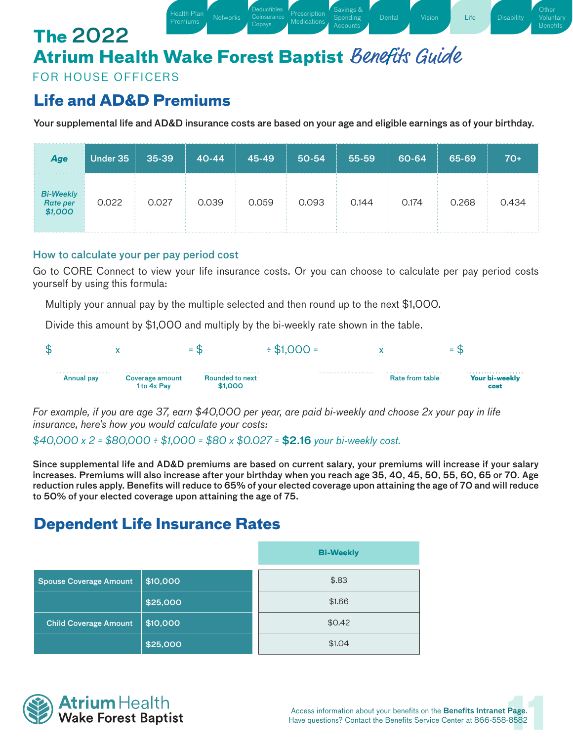Health Plan [Networks](#page-1-1) Coinsurance [Prescription](#page-3-0)<br>Premiums Medications (Conavs Medications

Deductibles **[Coinsurance](#page-2-0)** Copays

[Health Plan](#page-1-0)

FOR HOUSE OFFICERS

### **Life and AD&D Premiums**

Your supplemental life and AD&D insurance costs are based on your age and eligible earnings as of your birthday.

**Medications** 

[Savings &](#page-5-0) Spending

[Dental](#page-7-0) [Vision](#page-8-0) [Life](#page-9-0) [Disability](#page-11-0)

**Other** [Voluntary](#page-12-0) **Benefit** 

| Age                              | Under 35 | 35-39 | $40 - 44$ | 45-49 | 50-54 | 55-59 | 60-64 | 65-69 | $70+$ |
|----------------------------------|----------|-------|-----------|-------|-------|-------|-------|-------|-------|
| Bi-Weekly<br>Rate per<br>\$1,000 | 0.022    | 0.027 | 0.039     | 0.059 | 0.093 | 0.144 | 0.174 | 0.268 | 0.434 |

#### How to calculate your per pay period cost

Go to CORE Connect to view your life insurance costs. Or you can choose to calculate per pay period costs yourself by using this formula:

Multiply your annual pay by the multiple selected and then round up to the next \$1,000.

Divide this amount by \$1,000 and multiply by the bi-weekly rate shown in the table.



*For example, if you are age 37, earn \$40,000 per year, are paid bi-weekly and choose 2x your pay in life insurance, here's how you would calculate your costs:* 

*\$40,000 x 2 = \$80,000 ÷ \$1,000 = \$80 x \$0.027 =* \$2.16 *your bi-weekly cost.*

Since supplemental life and AD&D premiums are based on current salary, your premiums will increase if your salary increases. Premiums will also increase after your birthday when you reach age 35, 40, 45, 50, 55, 60, 65 or 70. Age reduction rules apply. Benefits will reduce to 65% of your elected coverage upon attaining the age of 70 and will reduce to 50% of your elected coverage upon attaining the age of 75.

## **Dependent Life Insurance Rates**

|                               |          | <b>Bi-Weekly</b> |
|-------------------------------|----------|------------------|
| <b>Spouse Coverage Amount</b> | \$10,000 | \$.83            |
|                               | \$25,000 | \$1.66           |
| <b>Child Coverage Amount</b>  | \$10,000 | \$0.42           |
|                               | \$25,000 | \$1.04           |

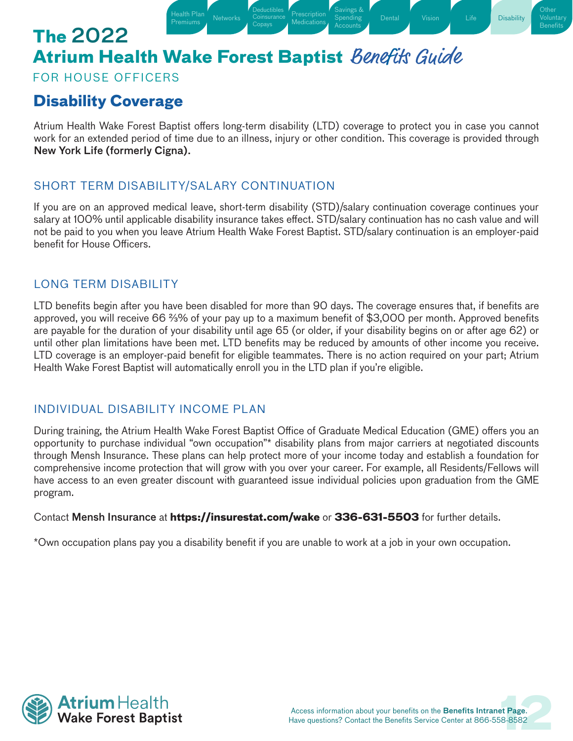Health Plan [Networks](#page-1-1) Coinsurance [Prescription](#page-3-0)<br>Premiums Metworks Consus Medications

**Deductibles [Coinsurance](#page-2-0)** Copays

### FOR HOUSE OFFICERS

## <span id="page-11-0"></span>**Disability Coverage**

Atrium Health Wake Forest Baptist offers long-term disability (LTD) coverage to protect you in case you cannot work for an extended period of time due to an illness, injury or other condition. This coverage is provided through New York Life (formerly Cigna).

Medications

[Savings &](#page-5-0) Spending

**[Disability](#page-11-0)** 

**Other Benefits** 

### SHORT TERM DISABILITY/SALARY CONTINUATION

[Health Plan](#page-1-0)

If you are on an approved medical leave, short-term disability (STD)/salary continuation coverage continues your salary at 100% until applicable disability insurance takes effect. STD/salary continuation has no cash value and will not be paid to you when you leave Atrium Health Wake Forest Baptist. STD/salary continuation is an employer-paid benefit for House Officers.

### LONG TERM DISABILITY

LTD benefits begin after you have been disabled for more than 90 days. The coverage ensures that, if benefits are approved, you will receive 66 %% of your pay up to a maximum benefit of \$3,000 per month. Approved benefits are payable for the duration of your disability until age 65 (or older, if your disability begins on or after age 62) or until other plan limitations have been met. LTD benefits may be reduced by amounts of other income you receive. LTD coverage is an employer-paid benefit for eligible teammates. There is no action required on your part; Atrium Health Wake Forest Baptist will automatically enroll you in the LTD plan if you're eligible.

### INDIVIDUAL DISABILITY INCOME PLAN

During training, the Atrium Health Wake Forest Baptist Office of Graduate Medical Education (GME) offers you an opportunity to purchase individual "own occupation"\* disability plans from major carriers at negotiated discounts through Mensh Insurance. These plans can help protect more of your income today and establish a foundation for comprehensive income protection that will grow with you over your career. For example, all Residents/Fellows will have access to an even greater discount with guaranteed issue individual policies upon graduation from the GME program.

#### Contact Mensh Insurance at **https://insurestat.com/wake** or **336-631-5503** for further details.

\*Own occupation plans pay you a disability benefit if you are unable to work at a job in your own occupation.